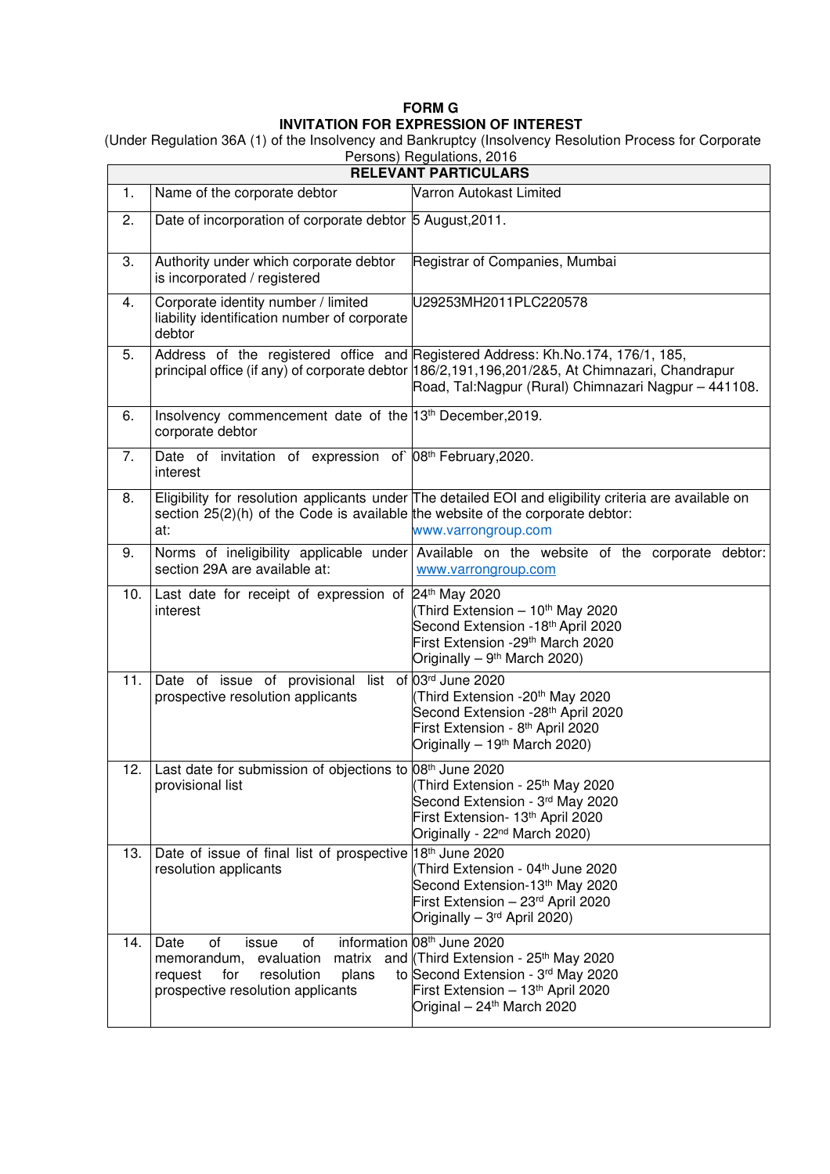## **FORM G INVITATION FOR EXPRESSION OF INTEREST**

 (Under Regulation 36A (1) of the Insolvency and Bankruptcy (Insolvency Resolution Process for Corporate Persons) Regulations, 2016

| <b>RELEVANT PARTICULARS</b> |                                                                                                                                                |                                                                                                                                                                                                                                           |
|-----------------------------|------------------------------------------------------------------------------------------------------------------------------------------------|-------------------------------------------------------------------------------------------------------------------------------------------------------------------------------------------------------------------------------------------|
| 1.                          | Name of the corporate debtor                                                                                                                   | Varron Autokast Limited                                                                                                                                                                                                                   |
| 2.                          | Date of incorporation of corporate debtor 5 August, 2011.                                                                                      |                                                                                                                                                                                                                                           |
| 3.                          | Authority under which corporate debtor<br>is incorporated / registered                                                                         | Registrar of Companies, Mumbai                                                                                                                                                                                                            |
| 4.                          | Corporate identity number / limited<br>liability identification number of corporate<br>debtor                                                  | U29253MH2011PLC220578                                                                                                                                                                                                                     |
| 5.                          |                                                                                                                                                | Address of the registered office and Registered Address: Kh.No.174, 176/1, 185,<br>principal office (if any) of corporate debtor 186/2,191,196,201/2&5, At Chimnazari, Chandrapur<br>Road, Tal:Nagpur (Rural) Chimnazari Nagpur - 441108. |
| 6.                          | Insolvency commencement date of the 13 <sup>th</sup> December, 2019.<br>corporate debtor                                                       |                                                                                                                                                                                                                                           |
| 7.                          | Date of invitation of expression of 08th February, 2020.<br>interest                                                                           |                                                                                                                                                                                                                                           |
| 8.                          | section $25(2)(h)$ of the Code is available the website of the corporate debtor:<br>at:                                                        | Eligibility for resolution applicants under The detailed EOI and eligibility criteria are available on<br>www.varrongroup.com                                                                                                             |
| 9.                          | section 29A are available at:                                                                                                                  | Norms of ineligibility applicable under Available on the website of the corporate debtor:<br>www.varrongroup.com                                                                                                                          |
| 10.                         | Last date for receipt of expression of 24 <sup>th</sup> May 2020<br>interest                                                                   | (Third Extension - 10 <sup>th</sup> May 2020<br>Second Extension -18 <sup>th</sup> April 2020<br>First Extension -29 <sup>th</sup> March 2020<br>Originally - 9 <sup>th</sup> March 2020)                                                 |
| 11.                         | Date of issue of provisional list of 03rd June 2020<br>prospective resolution applicants                                                       | Third Extension -20 <sup>th</sup> May 2020<br>Second Extension -28 <sup>th</sup> April 2020<br>First Extension - 8 <sup>th</sup> April 2020<br>Originally $-19th$ March 2020)                                                             |
| 12.                         | Last date for submission of objections to 08 <sup>th</sup> June 2020<br>provisional list                                                       | (Third Extension - 25 <sup>th</sup> May 2020<br>Second Extension - 3rd May 2020<br>First Extension- 13th April 2020<br>Originally - 22 <sup>nd</sup> March 2020)                                                                          |
| 13.                         | Date of issue of final list of prospective 18th June 2020<br>resolution applicants                                                             | (Third Extension - 04 <sup>th</sup> June 2020<br>Second Extension-13th May 2020<br>First Extension - 23rd April 2020<br>Originally - 3rd April 2020)                                                                                      |
| 14.                         | Date<br>οf<br>issue<br>of<br>evaluation<br>matrix<br>memorandum,<br>resolution<br>plans<br>request<br>for<br>prospective resolution applicants | information 08 <sup>th</sup> June 2020<br>and (Third Extension - 25 <sup>th</sup> May 2020<br>to Second Extension - 3rd May 2020<br>First Extension - 13th April 2020<br>Original - 24 <sup>th</sup> March 2020                           |